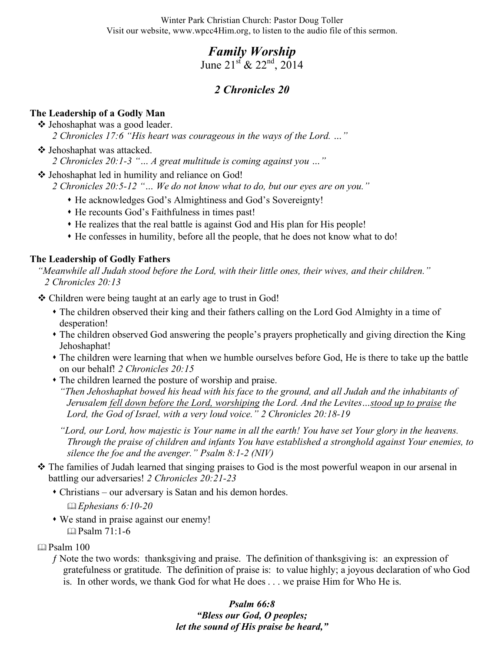Winter Park Christian Church: Pastor Doug Toller Visit our website, www.wpcc4Him.org, to listen to the audio file of this sermon.

# *Family Worship*

June  $21^{st}$  &  $22^{nd}$ ,  $2014$ 

## *2 Chronicles 20*

### **The Leadership of a Godly Man**

**❖** Jehoshaphat was a good leader.

*2 Chronicles 17:6 "His heart was courageous in the ways of the Lord. …"*

- Jehoshaphat was attacked.
	- *2 Chronicles 20:1-3 "… A great multitude is coming against you …"*
- ❖ Jehoshaphat led in humility and reliance on God!

*2 Chronicles 20:5-12 "… We do not know what to do, but our eyes are on you."*

- He acknowledges God's Almightiness and God's Sovereignty!
- He recounts God's Faithfulness in times past!
- He realizes that the real battle is against God and His plan for His people!
- He confesses in humility, before all the people, that he does not know what to do!

#### **The Leadership of Godly Fathers**

*"Meanwhile all Judah stood before the Lord, with their little ones, their wives, and their children." 2 Chronicles 20:13*

- Children were being taught at an early age to trust in God!
	- The children observed their king and their fathers calling on the Lord God Almighty in a time of desperation!
	- The children observed God answering the people's prayers prophetically and giving direction the King Jehoshaphat!
	- The children were learning that when we humble ourselves before God, He is there to take up the battle on our behalf! *2 Chronicles 20:15*
	- The children learned the posture of worship and praise.

*"Then Jehoshaphat bowed his head with his face to the ground, and all Judah and the inhabitants of Jerusalem fell down before the Lord, worshiping the Lord. And the Levites…stood up to praise the Lord, the God of Israel, with a very loud voice." 2 Chronicles 20:18-19*

*"Lord, our Lord, how majestic is Your name in all the earth! You have set Your glory in the heavens. Through the praise of children and infants You have established a stronghold against Your enemies, to silence the foe and the avenger." Psalm 8:1-2 (NIV)*

- The families of Judah learned that singing praises to God is the most powerful weapon in our arsenal in battling our adversaries! *2 Chronicles 20:21-23*
	- Christians our adversary is Satan and his demon hordes.
		- *Ephesians 6:10-20*
	- We stand in praise against our enemy!  $\Box$  Psalm 71:1-6
- Psalm 100
	- ƒ Note the two words: thanksgiving and praise. The definition of thanksgiving is: an expression of gratefulness or gratitude. The definition of praise is: to value highly; a joyous declaration of who God is. In other words, we thank God for what He does . . . we praise Him for Who He is.

*Psalm 66:8 "Bless our God, O peoples; let the sound of His praise be heard,"*